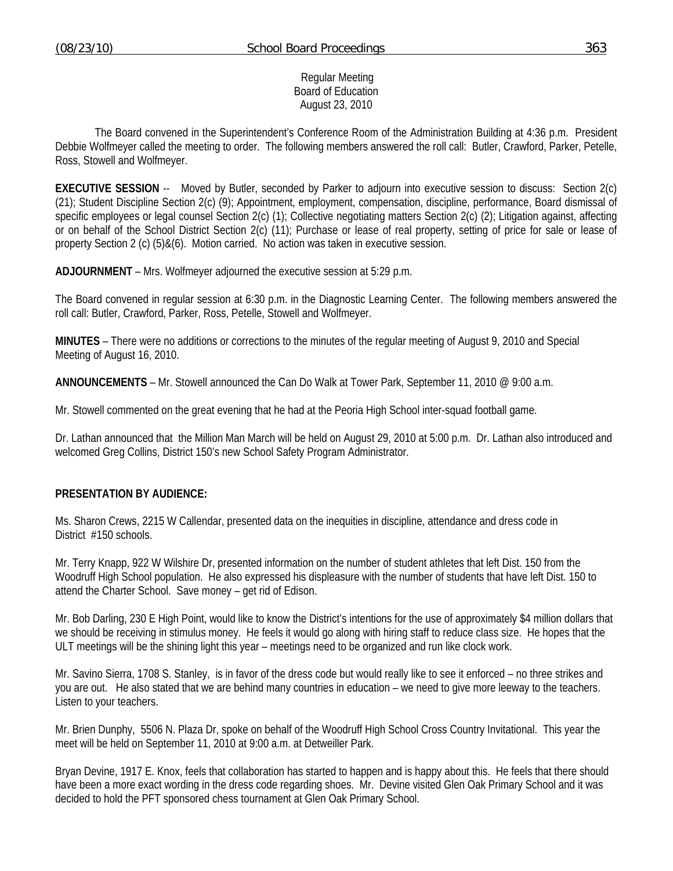#### Regular Meeting Board of Education August 23, 2010

 The Board convened in the Superintendent's Conference Room of the Administration Building at 4:36 p.m. President Debbie Wolfmeyer called the meeting to order. The following members answered the roll call: Butler, Crawford, Parker, Petelle, Ross, Stowell and Wolfmeyer.

**EXECUTIVE SESSION** -- Moved by Butler, seconded by Parker to adjourn into executive session to discuss: Section 2(c) (21); Student Discipline Section 2(c) (9); Appointment, employment, compensation, discipline, performance, Board dismissal of specific employees or legal counsel Section 2(c) (1); Collective negotiating matters Section 2(c) (2); Litigation against, affecting or on behalf of the School District Section 2(c) (11); Purchase or lease of real property, setting of price for sale or lease of property Section 2 (c) (5)&(6). Motion carried. No action was taken in executive session.

**ADJOURNMENT** – Mrs. Wolfmeyer adjourned the executive session at 5:29 p.m.

The Board convened in regular session at 6:30 p.m. in the Diagnostic Learning Center. The following members answered the roll call: Butler, Crawford, Parker, Ross, Petelle, Stowell and Wolfmeyer.

**MINUTES** – There were no additions or corrections to the minutes of the regular meeting of August 9, 2010 and Special Meeting of August 16, 2010.

**ANNOUNCEMENTS** – Mr. Stowell announced the Can Do Walk at Tower Park, September 11, 2010 @ 9:00 a.m.

Mr. Stowell commented on the great evening that he had at the Peoria High School inter-squad football game.

Dr. Lathan announced that the Million Man March will be held on August 29, 2010 at 5:00 p.m. Dr. Lathan also introduced and welcomed Greg Collins, District 150's new School Safety Program Administrator.

#### **PRESENTATION BY AUDIENCE:**

Ms. Sharon Crews, 2215 W Callendar, presented data on the inequities in discipline, attendance and dress code in District #150 schools.

Mr. Terry Knapp, 922 W Wilshire Dr, presented information on the number of student athletes that left Dist. 150 from the Woodruff High School population. He also expressed his displeasure with the number of students that have left Dist. 150 to attend the Charter School. Save money – get rid of Edison.

Mr. Bob Darling, 230 E High Point, would like to know the District's intentions for the use of approximately \$4 million dollars that we should be receiving in stimulus money. He feels it would go along with hiring staff to reduce class size. He hopes that the ULT meetings will be the shining light this year – meetings need to be organized and run like clock work.

Mr. Savino Sierra, 1708 S. Stanley, is in favor of the dress code but would really like to see it enforced – no three strikes and you are out. He also stated that we are behind many countries in education – we need to give more leeway to the teachers. Listen to your teachers.

Mr. Brien Dunphy, 5506 N. Plaza Dr, spoke on behalf of the Woodruff High School Cross Country Invitational. This year the meet will be held on September 11, 2010 at 9:00 a.m. at Detweiller Park.

Bryan Devine, 1917 E. Knox, feels that collaboration has started to happen and is happy about this. He feels that there should have been a more exact wording in the dress code regarding shoes. Mr. Devine visited Glen Oak Primary School and it was decided to hold the PFT sponsored chess tournament at Glen Oak Primary School.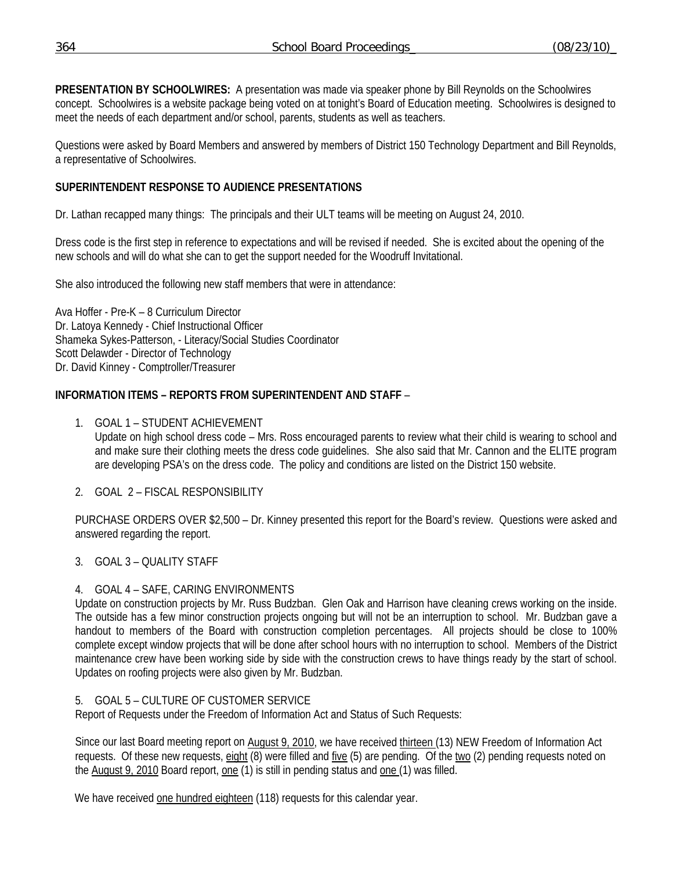**PRESENTATION BY SCHOOLWIRES:** A presentation was made via speaker phone by Bill Reynolds on the Schoolwires concept. Schoolwires is a website package being voted on at tonight's Board of Education meeting. Schoolwires is designed to meet the needs of each department and/or school, parents, students as well as teachers.

Questions were asked by Board Members and answered by members of District 150 Technology Department and Bill Reynolds, a representative of Schoolwires.

# **SUPERINTENDENT RESPONSE TO AUDIENCE PRESENTATIONS**

Dr. Lathan recapped many things: The principals and their ULT teams will be meeting on August 24, 2010.

Dress code is the first step in reference to expectations and will be revised if needed. She is excited about the opening of the new schools and will do what she can to get the support needed for the Woodruff Invitational.

She also introduced the following new staff members that were in attendance:

Ava Hoffer - Pre-K – 8 Curriculum Director Dr. Latoya Kennedy - Chief Instructional Officer Shameka Sykes-Patterson, - Literacy/Social Studies Coordinator Scott Delawder - Director of Technology Dr. David Kinney - Comptroller/Treasurer

## **INFORMATION ITEMS – REPORTS FROM SUPERINTENDENT AND STAFF** –

- 1. GOAL 1 STUDENT ACHIEVEMENT Update on high school dress code – Mrs. Ross encouraged parents to review what their child is wearing to school and and make sure their clothing meets the dress code guidelines. She also said that Mr. Cannon and the ELITE program are developing PSA's on the dress code. The policy and conditions are listed on the District 150 website.
- 2. GOAL 2 FISCAL RESPONSIBILITY

PURCHASE ORDERS OVER \$2,500 – Dr. Kinney presented this report for the Board's review. Questions were asked and answered regarding the report.

## 3. GOAL 3 – QUALITY STAFF

## 4. GOAL 4 – SAFE, CARING ENVIRONMENTS

Update on construction projects by Mr. Russ Budzban. Glen Oak and Harrison have cleaning crews working on the inside. The outside has a few minor construction projects ongoing but will not be an interruption to school. Mr. Budzban gave a handout to members of the Board with construction completion percentages. All projects should be close to 100% complete except window projects that will be done after school hours with no interruption to school. Members of the District maintenance crew have been working side by side with the construction crews to have things ready by the start of school. Updates on roofing projects were also given by Mr. Budzban.

## 5. GOAL 5 – CULTURE OF CUSTOMER SERVICE

Report of Requests under the Freedom of Information Act and Status of Such Requests:

Since our last Board meeting report on August 9, 2010, we have received thirteen (13) NEW Freedom of Information Act requests. Of these new requests, eight (8) were filled and five (5) are pending. Of the two (2) pending requests noted on the August 9, 2010 Board report, one (1) is still in pending status and one (1) was filled.

We have received one hundred eighteen (118) requests for this calendar year.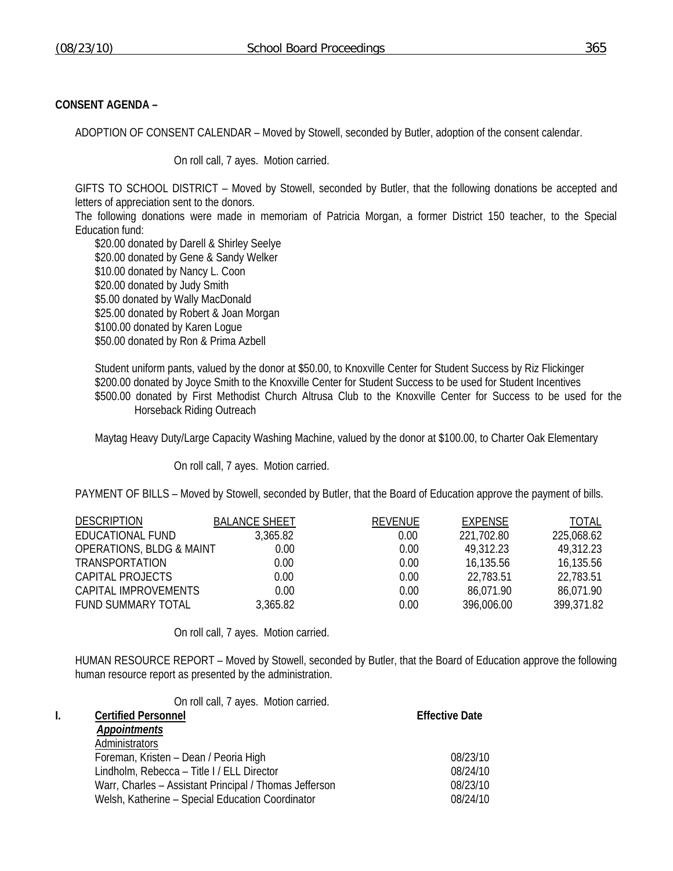### **CONSENT AGENDA –**

ADOPTION OF CONSENT CALENDAR – Moved by Stowell, seconded by Butler, adoption of the consent calendar.

On roll call, 7 ayes. Motion carried.

GIFTS TO SCHOOL DISTRICT – Moved by Stowell, seconded by Butler, that the following donations be accepted and letters of appreciation sent to the donors.

The following donations were made in memoriam of Patricia Morgan, a former District 150 teacher, to the Special Education fund:

\$20.00 donated by Darell & Shirley Seelye \$20.00 donated by Gene & Sandy Welker \$10.00 donated by Nancy L. Coon \$20.00 donated by Judy Smith \$5.00 donated by Wally MacDonald \$25.00 donated by Robert & Joan Morgan \$100.00 donated by Karen Logue \$50.00 donated by Ron & Prima Azbell

Student uniform pants, valued by the donor at \$50.00, to Knoxville Center for Student Success by Riz Flickinger \$200.00 donated by Joyce Smith to the Knoxville Center for Student Success to be used for Student Incentives \$500.00 donated by First Methodist Church Altrusa Club to the Knoxville Center for Success to be used for the Horseback Riding Outreach

Maytag Heavy Duty/Large Capacity Washing Machine, valued by the donor at \$100.00, to Charter Oak Elementary

On roll call, 7 ayes. Motion carried.

PAYMENT OF BILLS – Moved by Stowell, seconded by Butler, that the Board of Education approve the payment of bills.

| <b>DESCRIPTION</b>                  | <b>BALANCE SHEET</b> | <b>REVENUE</b> | EXPENSE    | <b>TOTAL</b> |
|-------------------------------------|----------------------|----------------|------------|--------------|
| EDUCATIONAL FUND                    | 3,365.82             | 0.00           | 221,702.80 | 225,068.62   |
| <b>OPERATIONS, BLDG &amp; MAINT</b> | 0.00                 | 0.00           | 49.312.23  | 49.312.23    |
| TRANSPORTATION                      | 0.00                 | 0.00           | 16,135.56  | 16,135.56    |
| CAPITAL PROJECTS                    | 0.00                 | 0.00           | 22,783.51  | 22,783.51    |
| CAPITAL IMPROVEMENTS                | 0.00                 | 0.00           | 86.071.90  | 86.071.90    |
| <b>FUND SUMMARY TOTAL</b>           | 3,365.82             | 0.00           | 396,006.00 | 399,371.82   |

On roll call, 7 ayes. Motion carried.

HUMAN RESOURCE REPORT – Moved by Stowell, seconded by Butler, that the Board of Education approve the following human resource report as presented by the administration.

| On roll call, 7 ayes. Motion carried.                  |                       |
|--------------------------------------------------------|-----------------------|
| <b>Certified Personnel</b>                             | <b>Effective Date</b> |
| <b>Appointments</b>                                    |                       |
| Administrators                                         |                       |
| Foreman, Kristen - Dean / Peoria High                  | 08/23/10              |
| Lindholm, Rebecca - Title I / ELL Director             | 08/24/10              |
| Warr, Charles - Assistant Principal / Thomas Jefferson | 08/23/10              |
| Welsh, Katherine - Special Education Coordinator       | 08/24/10              |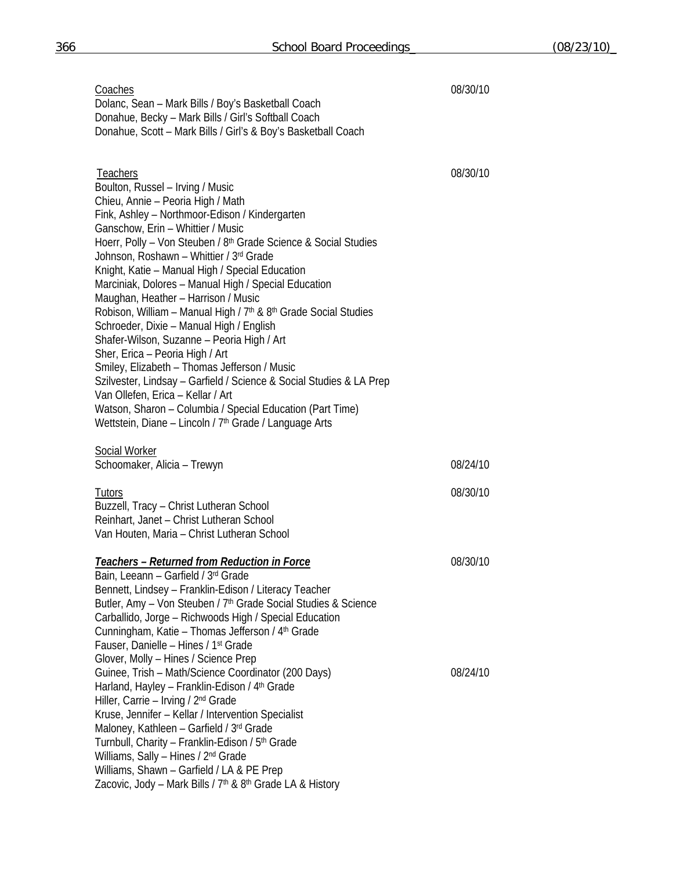| 08/30/10 |
|----------|
|          |

 Dolanc, Sean – Mark Bills / Boy's Basketball Coach Donahue, Becky – Mark Bills / Girl's Softball Coach Donahue, Scott – Mark Bills / Girl's & Boy's Basketball Coach

| <b>Teachers</b>                                                                                                                 | 08/30/10 |
|---------------------------------------------------------------------------------------------------------------------------------|----------|
| Boulton, Russel - Irving / Music                                                                                                |          |
| Chieu, Annie - Peoria High / Math                                                                                               |          |
| Fink, Ashley - Northmoor-Edison / Kindergarten                                                                                  |          |
| Ganschow, Erin - Whittier / Music                                                                                               |          |
| Hoerr, Polly - Von Steuben / 8 <sup>th</sup> Grade Science & Social Studies                                                     |          |
| Johnson, Roshawn - Whittier / 3rd Grade<br>Knight, Katie - Manual High / Special Education                                      |          |
| Marciniak, Dolores - Manual High / Special Education                                                                            |          |
| Maughan, Heather - Harrison / Music                                                                                             |          |
| Robison, William - Manual High / 7 <sup>th</sup> & 8 <sup>th</sup> Grade Social Studies                                         |          |
| Schroeder, Dixie - Manual High / English                                                                                        |          |
| Shafer-Wilson, Suzanne - Peoria High / Art                                                                                      |          |
| Sher, Erica - Peoria High / Art                                                                                                 |          |
| Smiley, Elizabeth - Thomas Jefferson / Music                                                                                    |          |
| Szilvester, Lindsay - Garfield / Science & Social Studies & LA Prep                                                             |          |
| Van Ollefen, Erica - Kellar / Art                                                                                               |          |
| Watson, Sharon - Columbia / Special Education (Part Time)<br>Wettstein, Diane - Lincoln / 7 <sup>th</sup> Grade / Language Arts |          |
| <b>Social Worker</b>                                                                                                            |          |
| Schoomaker, Alicia - Trewyn                                                                                                     | 08/24/10 |
|                                                                                                                                 |          |
| <b>Tutors</b><br>Buzzell, Tracy - Christ Lutheran School                                                                        | 08/30/10 |
| Reinhart, Janet - Christ Lutheran School                                                                                        |          |
| Van Houten, Maria - Christ Lutheran School                                                                                      |          |
|                                                                                                                                 |          |
| Teachers - Returned from Reduction in Force                                                                                     | 08/30/10 |
| Bain, Leeann - Garfield / 3rd Grade                                                                                             |          |
| Bennett, Lindsey - Franklin-Edison / Literacy Teacher                                                                           |          |
| Butler, Amy - Von Steuben / 7 <sup>th</sup> Grade Social Studies & Science                                                      |          |
| Carballido, Jorge - Richwoods High / Special Education<br>Cunningham, Katie - Thomas Jefferson / 4 <sup>th</sup> Grade          |          |
| Fauser, Danielle - Hines / 1 <sup>st</sup> Grade                                                                                |          |
| Glover, Molly - Hines / Science Prep                                                                                            |          |
| Guinee, Trish - Math/Science Coordinator (200 Days)                                                                             | 08/24/10 |
| Harland, Hayley - Franklin-Edison / 4 <sup>th</sup> Grade                                                                       |          |
| Hiller, Carrie - Irving / 2 <sup>nd</sup> Grade                                                                                 |          |
| Kruse, Jennifer - Kellar / Intervention Specialist                                                                              |          |
| Maloney, Kathleen - Garfield / 3rd Grade                                                                                        |          |
| Turnbull, Charity - Franklin-Edison / 5 <sup>th</sup> Grade                                                                     |          |
| Williams, Sally - Hines / 2 <sup>nd</sup> Grade                                                                                 |          |
| Williams, Shawn - Garfield / LA & PE Prep<br>Zacovic, Jody - Mark Bills / 7 <sup>th</sup> & 8 <sup>th</sup> Grade LA & History  |          |
|                                                                                                                                 |          |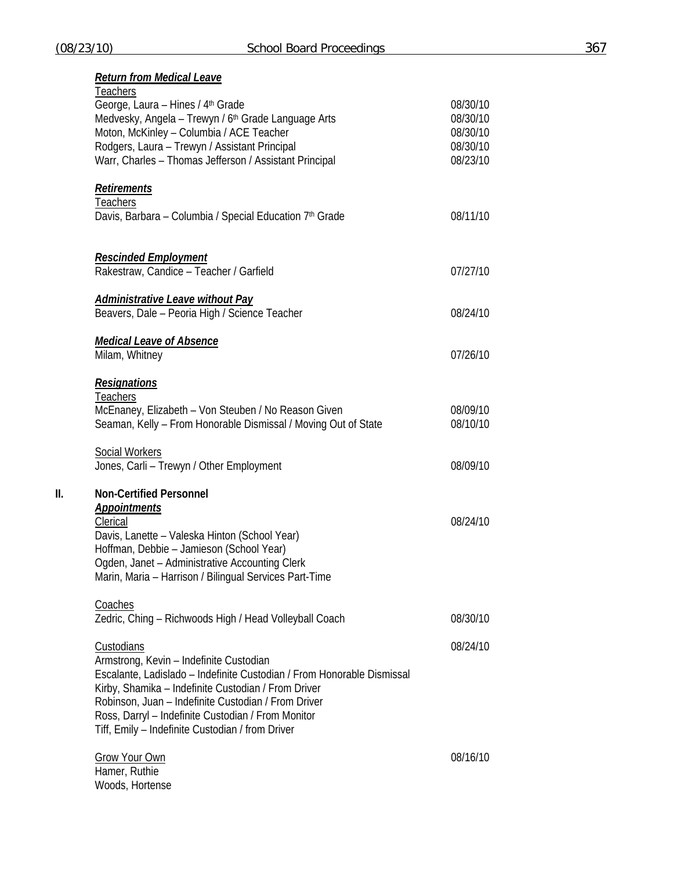|     | <b>Return from Medical Leave</b><br><b>Teachers</b>                                                                                                                                                                                                                                                                                                     |                                                          |
|-----|---------------------------------------------------------------------------------------------------------------------------------------------------------------------------------------------------------------------------------------------------------------------------------------------------------------------------------------------------------|----------------------------------------------------------|
|     | George, Laura - Hines / 4th Grade<br>Medvesky, Angela - Trewyn / 6 <sup>th</sup> Grade Language Arts<br>Moton, McKinley - Columbia / ACE Teacher<br>Rodgers, Laura - Trewyn / Assistant Principal<br>Warr, Charles - Thomas Jefferson / Assistant Principal                                                                                             | 08/30/10<br>08/30/10<br>08/30/10<br>08/30/10<br>08/23/10 |
|     | <b>Retirements</b><br>Teachers<br>Davis, Barbara - Columbia / Special Education 7 <sup>th</sup> Grade                                                                                                                                                                                                                                                   | 08/11/10                                                 |
|     | <b>Rescinded Employment</b><br>Rakestraw, Candice - Teacher / Garfield                                                                                                                                                                                                                                                                                  | 07/27/10                                                 |
|     | <u>Administrative Leave without Pay</u><br>Beavers, Dale - Peoria High / Science Teacher                                                                                                                                                                                                                                                                | 08/24/10                                                 |
|     | <b>Medical Leave of Absence</b><br>Milam, Whitney                                                                                                                                                                                                                                                                                                       | 07/26/10                                                 |
|     | <b>Resignations</b><br><b>Teachers</b><br>McEnaney, Elizabeth - Von Steuben / No Reason Given<br>Seaman, Kelly - From Honorable Dismissal / Moving Out of State                                                                                                                                                                                         | 08/09/10<br>08/10/10                                     |
|     | Social Workers<br>Jones, Carli - Trewyn / Other Employment                                                                                                                                                                                                                                                                                              | 08/09/10                                                 |
| II. | <b>Non-Certified Personnel</b><br><b>Appointments</b><br>Clerical<br>Davis, Lanette - Valeska Hinton (School Year)<br>Hoffman, Debbie - Jamieson (School Year)<br>Ogden, Janet - Administrative Accounting Clerk<br>Marin, Maria - Harrison / Bilingual Services Part-Time                                                                              | 08/24/10                                                 |
|     | Coaches<br>Zedric, Ching - Richwoods High / Head Volleyball Coach                                                                                                                                                                                                                                                                                       | 08/30/10                                                 |
|     | Custodians<br>Armstrong, Kevin - Indefinite Custodian<br>Escalante, Ladislado - Indefinite Custodian / From Honorable Dismissal<br>Kirby, Shamika - Indefinite Custodian / From Driver<br>Robinson, Juan - Indefinite Custodian / From Driver<br>Ross, Darryl - Indefinite Custodian / From Monitor<br>Tiff, Emily – Indefinite Custodian / from Driver | 08/24/10                                                 |
|     | <b>Grow Your Own</b><br>Hamer, Ruthie<br>Woods, Hortense                                                                                                                                                                                                                                                                                                | 08/16/10                                                 |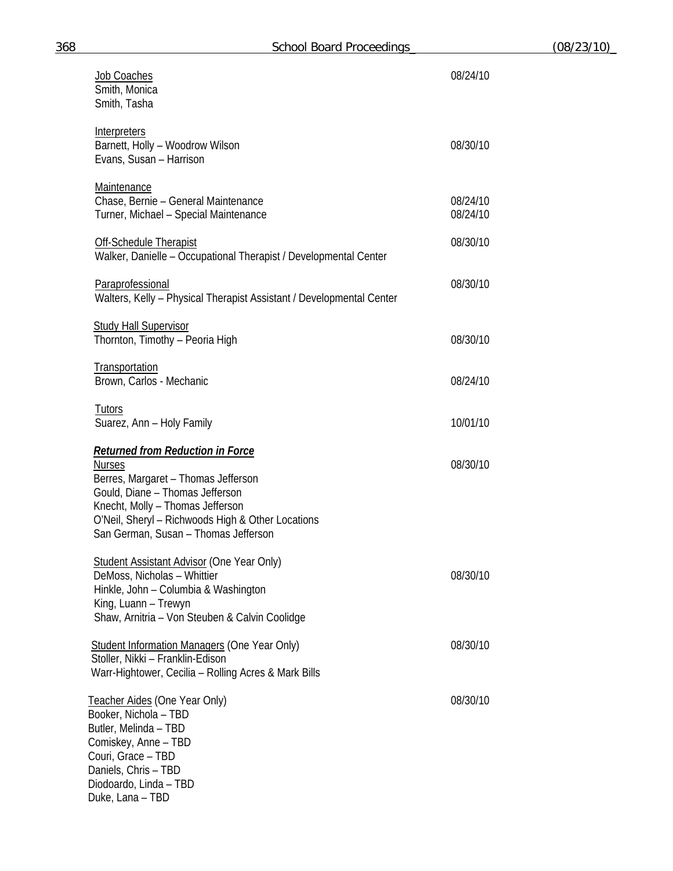| Job Coaches<br>Smith, Monica<br>Smith, Tasha                                                                                                                                                                                                                        | 08/24/10             |
|---------------------------------------------------------------------------------------------------------------------------------------------------------------------------------------------------------------------------------------------------------------------|----------------------|
| <b>Interpreters</b><br>Barnett, Holly - Woodrow Wilson<br>Evans, Susan - Harrison                                                                                                                                                                                   | 08/30/10             |
| <b>Maintenance</b><br>Chase, Bernie - General Maintenance<br>Turner, Michael - Special Maintenance                                                                                                                                                                  | 08/24/10<br>08/24/10 |
| <b>Off-Schedule Therapist</b><br>Walker, Danielle - Occupational Therapist / Developmental Center                                                                                                                                                                   | 08/30/10             |
| Paraprofessional<br>Walters, Kelly - Physical Therapist Assistant / Developmental Center                                                                                                                                                                            | 08/30/10             |
| <b>Study Hall Supervisor</b><br>Thornton, Timothy - Peoria High                                                                                                                                                                                                     | 08/30/10             |
| <b>Transportation</b><br>Brown, Carlos - Mechanic                                                                                                                                                                                                                   | 08/24/10             |
| <b>Tutors</b><br>Suarez, Ann - Holy Family                                                                                                                                                                                                                          | 10/01/10             |
| <b>Returned from Reduction in Force</b><br><b>Nurses</b><br>Berres, Margaret - Thomas Jefferson<br>Gould, Diane - Thomas Jefferson<br>Knecht, Molly - Thomas Jefferson<br>O'Neil, Sheryl - Richwoods High & Other Locations<br>San German, Susan - Thomas Jefferson | 08/30/10             |
| <b>Student Assistant Advisor (One Year Only)</b><br>DeMoss, Nicholas - Whittier<br>Hinkle, John - Columbia & Washington<br>King, Luann - Trewyn<br>Shaw, Arnitria - Von Steuben & Calvin Coolidge                                                                   | 08/30/10             |
| <b>Student Information Managers (One Year Only)</b><br>Stoller, Nikki - Franklin-Edison<br>Warr-Hightower, Cecilia - Rolling Acres & Mark Bills                                                                                                                     | 08/30/10             |
| Teacher Aides (One Year Only)<br>Booker, Nichola - TBD<br>Butler, Melinda - TBD<br>Comiskey, Anne - TBD<br>Couri, Grace - TBD<br>Daniels, Chris - TBD<br>Diodoardo, Linda - TBD<br>Duke, Lana - TBD                                                                 | 08/30/10             |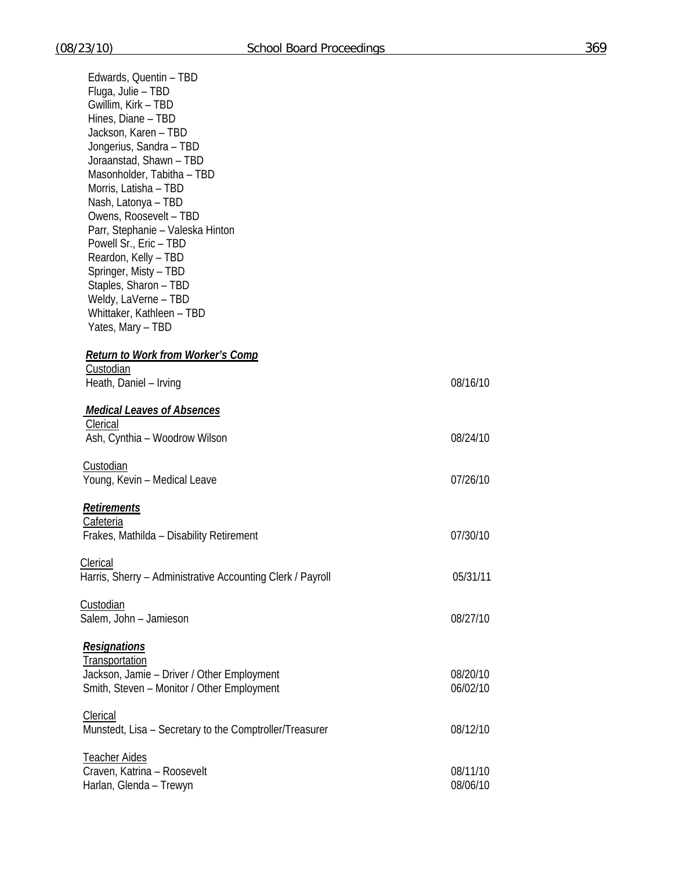| Edwards, Quentin - TBD                                     |          |
|------------------------------------------------------------|----------|
| Fluga, Julie - TBD                                         |          |
| Gwillim, Kirk - TBD                                        |          |
| Hines, Diane - TBD                                         |          |
| Jackson, Karen - TBD                                       |          |
| Jongerius, Sandra - TBD                                    |          |
| Joraanstad, Shawn - TBD                                    |          |
| Masonholder, Tabitha - TBD                                 |          |
| Morris, Latisha - TBD                                      |          |
| Nash, Latonya - TBD                                        |          |
| Owens, Roosevelt - TBD                                     |          |
| Parr, Stephanie – Valeska Hinton                           |          |
| Powell Sr., Eric - TBD                                     |          |
| Reardon, Kelly - TBD                                       |          |
| Springer, Misty - TBD                                      |          |
| Staples, Sharon - TBD                                      |          |
| Weldy, LaVerne - TBD                                       |          |
| Whittaker, Kathleen - TBD                                  |          |
| Yates, Mary - TBD                                          |          |
|                                                            |          |
| <b>Return to Work from Worker's Comp</b>                   |          |
| Custodian                                                  |          |
| Heath, Daniel - Irving                                     | 08/16/10 |
|                                                            |          |
| <b>Medical Leaves of Absences</b>                          |          |
| Clerical                                                   |          |
| Ash, Cynthia - Woodrow Wilson                              | 08/24/10 |
|                                                            |          |
| Custodian                                                  |          |
| Young, Kevin - Medical Leave                               | 07/26/10 |
|                                                            |          |
| <b>Retirements</b>                                         |          |
| <b>Cafeteria</b>                                           |          |
| Frakes, Mathilda - Disability Retirement                   | 07/30/10 |
|                                                            |          |
| Clerical                                                   |          |
| Harris, Sherry - Administrative Accounting Clerk / Payroll | 05/31/11 |
|                                                            |          |
| Custodian                                                  |          |
| Salem, John - Jamieson                                     | 08/27/10 |
|                                                            |          |
| <b>Resignations</b>                                        |          |
| Transportation                                             |          |
| Jackson, Jamie - Driver / Other Employment                 | 08/20/10 |
| Smith, Steven - Monitor / Other Employment                 | 06/02/10 |
|                                                            |          |
| Clerical                                                   |          |
| Munstedt, Lisa - Secretary to the Comptroller/Treasurer    | 08/12/10 |
|                                                            |          |
| <b>Teacher Aides</b>                                       |          |
| Craven, Katrina - Roosevelt                                | 08/11/10 |
| Harlan, Glenda - Trewyn                                    | 08/06/10 |
|                                                            |          |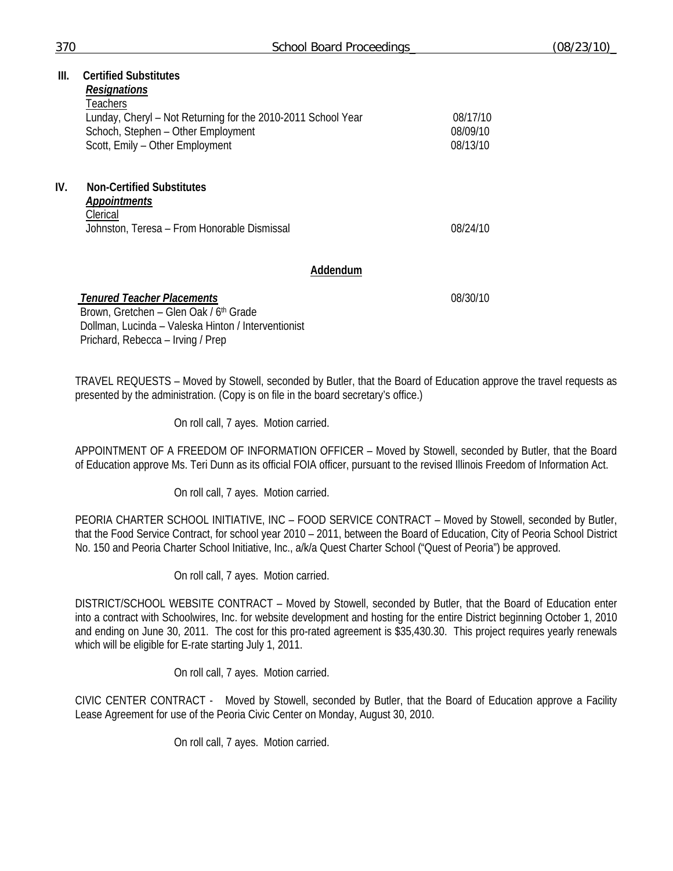| III. | <b>Certified Substitutes</b>                                 |          |
|------|--------------------------------------------------------------|----------|
|      | <b>Resignations</b>                                          |          |
|      | Teachers                                                     |          |
|      | Lunday, Cheryl – Not Returning for the 2010-2011 School Year | 08/17/10 |
|      | Schoch, Stephen - Other Employment                           | 08/09/10 |
|      | Scott, Emily - Other Employment                              | 08/13/10 |
|      |                                                              |          |
| IV.  | <b>Non-Certified Substitutes</b>                             |          |
|      | <b>Appointments</b>                                          |          |
|      | Clerical                                                     |          |
|      | Johnston, Teresa – From Honorable Dismissal                  | 08/24/10 |
|      |                                                              |          |
|      |                                                              |          |

### **Addendum**

 *Tenured Teacher Placements* 08/30/10 Brown, Gretchen – Glen Oak / 6th Grade Dollman, Lucinda – Valeska Hinton / Interventionist Prichard, Rebecca – Irving / Prep

TRAVEL REQUESTS – Moved by Stowell, seconded by Butler, that the Board of Education approve the travel requests as presented by the administration. (Copy is on file in the board secretary's office.)

On roll call, 7 ayes. Motion carried.

APPOINTMENT OF A FREEDOM OF INFORMATION OFFICER – Moved by Stowell, seconded by Butler, that the Board of Education approve Ms. Teri Dunn as its official FOIA officer, pursuant to the revised Illinois Freedom of Information Act.

On roll call, 7 ayes. Motion carried.

PEORIA CHARTER SCHOOL INITIATIVE, INC – FOOD SERVICE CONTRACT – Moved by Stowell, seconded by Butler, that the Food Service Contract, for school year 2010 – 2011, between the Board of Education, City of Peoria School District No. 150 and Peoria Charter School Initiative, Inc., a/k/a Quest Charter School ("Quest of Peoria") be approved.

On roll call, 7 ayes. Motion carried.

DISTRICT/SCHOOL WEBSITE CONTRACT – Moved by Stowell, seconded by Butler, that the Board of Education enter into a contract with Schoolwires, Inc. for website development and hosting for the entire District beginning October 1, 2010 and ending on June 30, 2011. The cost for this pro-rated agreement is \$35,430.30. This project requires yearly renewals which will be eligible for E-rate starting July 1, 2011.

On roll call, 7 ayes. Motion carried.

CIVIC CENTER CONTRACT - Moved by Stowell, seconded by Butler, that the Board of Education approve a Facility Lease Agreement for use of the Peoria Civic Center on Monday, August 30, 2010.

On roll call, 7 ayes. Motion carried.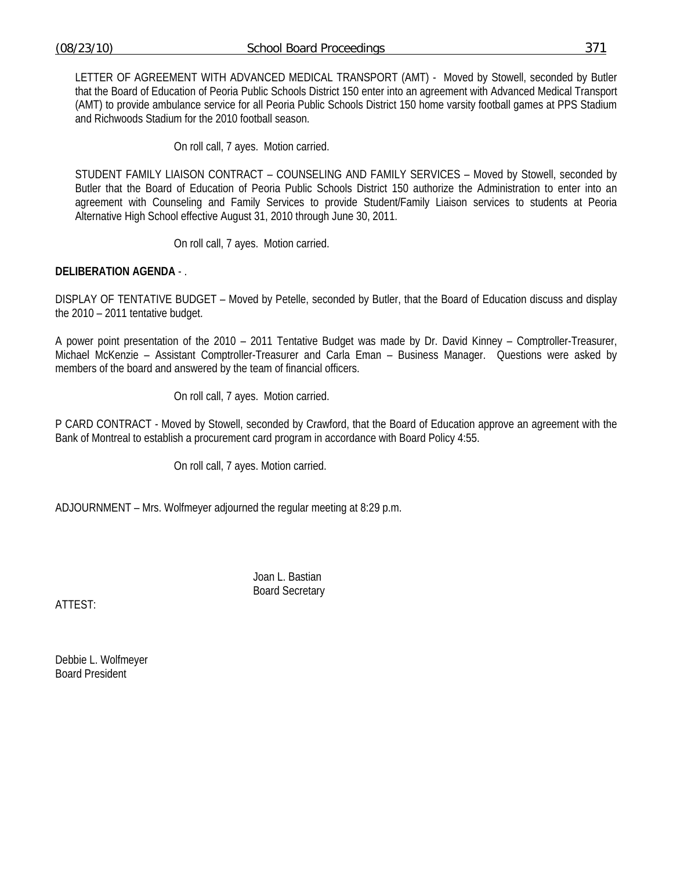LETTER OF AGREEMENT WITH ADVANCED MEDICAL TRANSPORT (AMT) - Moved by Stowell, seconded by Butler that the Board of Education of Peoria Public Schools District 150 enter into an agreement with Advanced Medical Transport (AMT) to provide ambulance service for all Peoria Public Schools District 150 home varsity football games at PPS Stadium and Richwoods Stadium for the 2010 football season.

On roll call, 7 ayes. Motion carried.

STUDENT FAMILY LIAISON CONTRACT – COUNSELING AND FAMILY SERVICES – Moved by Stowell, seconded by Butler that the Board of Education of Peoria Public Schools District 150 authorize the Administration to enter into an agreement with Counseling and Family Services to provide Student/Family Liaison services to students at Peoria Alternative High School effective August 31, 2010 through June 30, 2011.

On roll call, 7 ayes. Motion carried.

## **DELIBERATION AGENDA** - .

DISPLAY OF TENTATIVE BUDGET – Moved by Petelle, seconded by Butler, that the Board of Education discuss and display the 2010 – 2011 tentative budget.

A power point presentation of the 2010 – 2011 Tentative Budget was made by Dr. David Kinney – Comptroller-Treasurer, Michael McKenzie – Assistant Comptroller-Treasurer and Carla Eman – Business Manager. Questions were asked by members of the board and answered by the team of financial officers.

On roll call, 7 ayes. Motion carried.

P CARD CONTRACT - Moved by Stowell, seconded by Crawford, that the Board of Education approve an agreement with the Bank of Montreal to establish a procurement card program in accordance with Board Policy 4:55.

On roll call, 7 ayes. Motion carried.

ADJOURNMENT – Mrs. Wolfmeyer adjourned the regular meeting at 8:29 p.m.

 Joan L. Bastian Board Secretary

ATTEST:

Debbie L. Wolfmeyer Board President